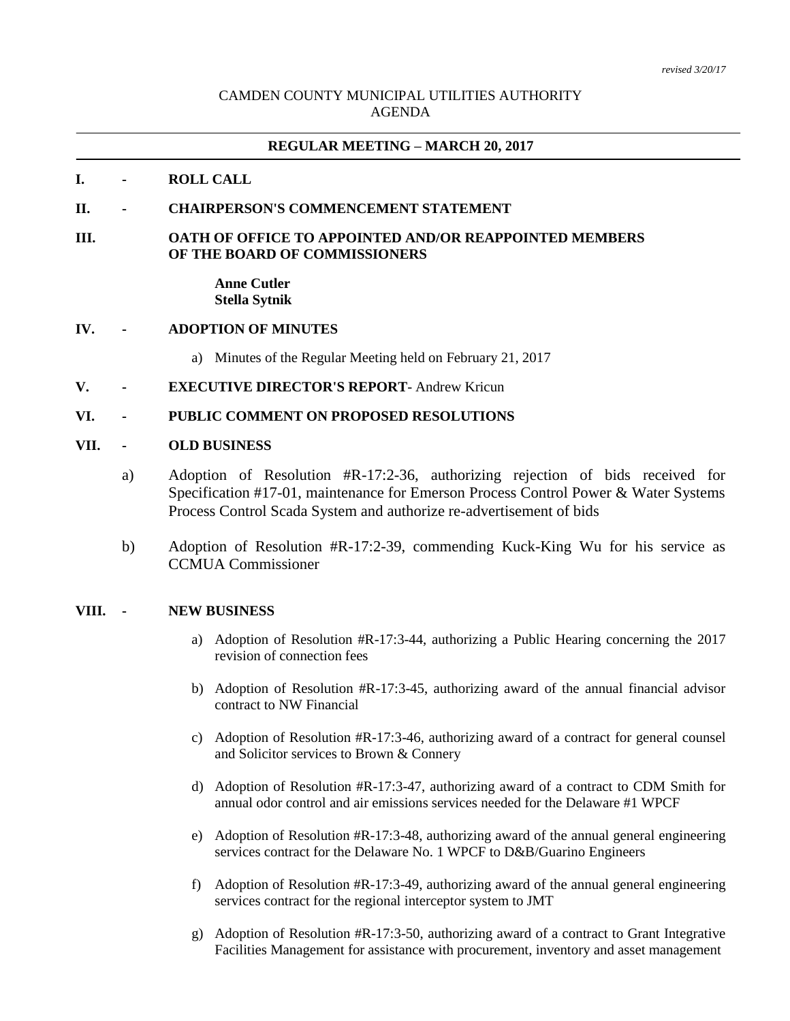# CAMDEN COUNTY MUNICIPAL UTILITIES AUTHORITY AGENDA

# **REGULAR MEETING – MARCH 20, 2017**

## **I. - ROLL CALL**

## **II. - CHAIRPERSON'S COMMENCEMENT STATEMENT**

### **III. OATH OF OFFICE TO APPOINTED AND/OR REAPPOINTED MEMBERS OF THE BOARD OF COMMISSIONERS**

#### **Anne Cutler Stella Sytnik**

#### **IV. - ADOPTION OF MINUTES**

a) Minutes of the Regular Meeting held on February 21, 2017

**V. - EXECUTIVE DIRECTOR'S REPORT**- Andrew Kricun

#### **VI. - PUBLIC COMMENT ON PROPOSED RESOLUTIONS**

#### **VII. - OLD BUSINESS**

- a) Adoption of Resolution #R-17:2-36, authorizing rejection of bids received for Specification #17-01, maintenance for Emerson Process Control Power & Water Systems Process Control Scada System and authorize re-advertisement of bids
- b) Adoption of Resolution #R-17:2-39, commending Kuck-King Wu for his service as CCMUA Commissioner

# **VIII. - NEW BUSINESS**

- a) Adoption of Resolution #R-17:3-44, authorizing a Public Hearing concerning the 2017 revision of connection fees
- b) Adoption of Resolution #R-17:3-45, authorizing award of the annual financial advisor contract to NW Financial
- c) Adoption of Resolution #R-17:3-46, authorizing award of a contract for general counsel and Solicitor services to Brown & Connery
- d) Adoption of Resolution #R-17:3-47, authorizing award of a contract to CDM Smith for annual odor control and air emissions services needed for the Delaware #1 WPCF
- e) Adoption of Resolution #R-17:3-48, authorizing award of the annual general engineering services contract for the Delaware No. 1 WPCF to D&B/Guarino Engineers
- f) Adoption of Resolution #R-17:3-49, authorizing award of the annual general engineering services contract for the regional interceptor system to JMT
- g) Adoption of Resolution #R-17:3-50, authorizing award of a contract to Grant Integrative Facilities Management for assistance with procurement, inventory and asset management